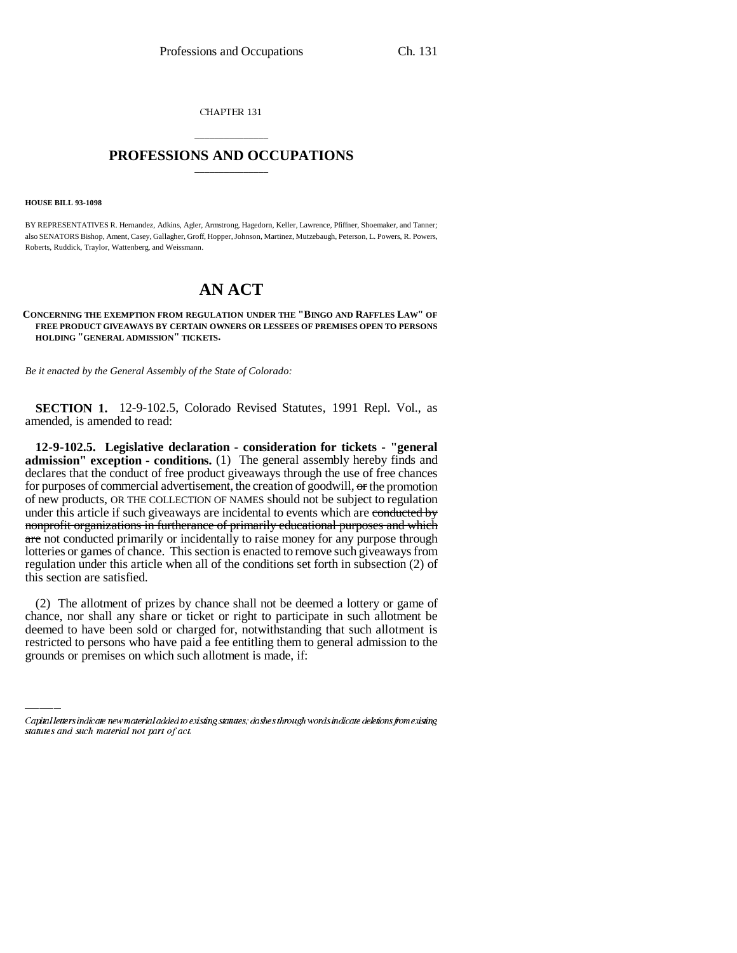CHAPTER 131

## \_\_\_\_\_\_\_\_\_\_\_\_\_\_\_ **PROFESSIONS AND OCCUPATIONS** \_\_\_\_\_\_\_\_\_\_\_\_\_\_\_

#### **HOUSE BILL 93-1098**

BY REPRESENTATIVES R. Hernandez, Adkins, Agler, Armstrong, Hagedorn, Keller, Lawrence, Pfiffner, Shoemaker, and Tanner; also SENATORS Bishop, Ament, Casey, Gallagher, Groff, Hopper, Johnson, Martinez, Mutzebaugh, Peterson, L. Powers, R. Powers, Roberts, Ruddick, Traylor, Wattenberg, and Weissmann.

# **AN ACT**

### **CONCERNING THE EXEMPTION FROM REGULATION UNDER THE "BINGO AND RAFFLES LAW" OF FREE PRODUCT GIVEAWAYS BY CERTAIN OWNERS OR LESSEES OF PREMISES OPEN TO PERSONS HOLDING "GENERAL ADMISSION" TICKETS.**

*Be it enacted by the General Assembly of the State of Colorado:*

**SECTION 1.** 12-9-102.5, Colorado Revised Statutes, 1991 Repl. Vol., as amended, is amended to read:

**12-9-102.5. Legislative declaration - consideration for tickets - "general admission" exception - conditions.** (1) The general assembly hereby finds and declares that the conduct of free product giveaways through the use of free chances for purposes of commercial advertisement, the creation of goodwill, or the promotion of new products, OR THE COLLECTION OF NAMES should not be subject to regulation under this article if such giveaways are incidental to events which are conducted by nonprofit organizations in furtherance of primarily educational purposes and which are not conducted primarily or incidentally to raise money for any purpose through lotteries or games of chance. This section is enacted to remove such giveaways from regulation under this article when all of the conditions set forth in subsection (2) of this section are satisfied.

chance, nor shall any share or ticket or right to participate in such allotment be (2) The allotment of prizes by chance shall not be deemed a lottery or game of deemed to have been sold or charged for, notwithstanding that such allotment is restricted to persons who have paid a fee entitling them to general admission to the grounds or premises on which such allotment is made, if:

Capital letters indicate new material added to existing statutes; dashes through words indicate deletions from existing statutes and such material not part of act.